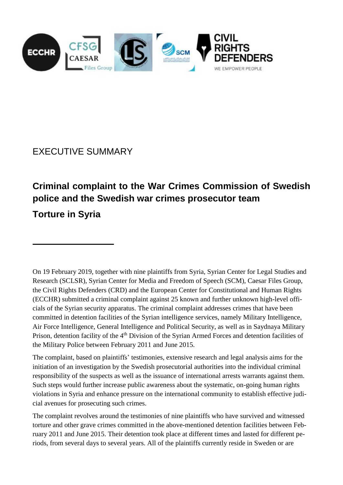

EXECUTIVE SUMMARY

# **Criminal complaint to the War Crimes Commission of Swedish police and the Swedish war crimes prosecutor team Torture in Syria**

On 19 February 2019, together with nine plaintiffs from Syria, Syrian Center for Legal Studies and Research (SCLSR), Syrian Center for Media and Freedom of Speech (SCM), Caesar Files Group, the Civil Rights Defenders (CRD) and the European Center for Constitutional and Human Rights (ECCHR) submitted a criminal complaint against 25 known and further unknown high-level officials of the Syrian security apparatus. The criminal complaint addresses crimes that have been committed in detention facilities of the Syrian intelligence services, namely Military Intelligence, Air Force Intelligence, General Intelligence and Political Security, as well as in Saydnaya Military Prison, detention facility of the 4<sup>th</sup> Division of the Syrian Armed Forces and detention facilities of the Military Police between February 2011 and June 2015.

The complaint, based on plaintiffs' testimonies, extensive research and legal analysis aims for the initiation of an investigation by the Swedish prosecutorial authorities into the individual criminal responsibility of the suspects as well as the issuance of international arrests warrants against them. Such steps would further increase public awareness about the systematic, on-going human rights violations in Syria and enhance pressure on the international community to establish effective judicial avenues for prosecuting such crimes.

The complaint revolves around the testimonies of nine plaintiffs who have survived and witnessed torture and other grave crimes committed in the above-mentioned detention facilities between February 2011 and June 2015. Their detention took place at different times and lasted for different periods, from several days to several years. All of the plaintiffs currently reside in Sweden or are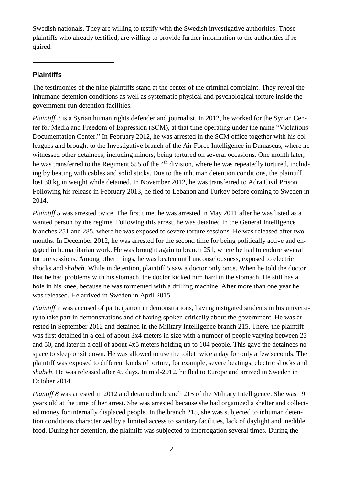Swedish nationals. They are willing to testify with the Swedish investigative authorities. Those plaintiffs who already testified, are willing to provide further information to the authorities if required.

## **Plaintiffs**

The testimonies of the nine plaintiffs stand at the center of the criminal complaint. They reveal the inhumane detention conditions as well as systematic physical and psychological torture inside the government-run detention facilities.

*Plaintiff* 2 is a Syrian human rights defender and journalist. In 2012, he worked for the Syrian Center for Media and Freedom of Expression (SCM), at that time operating under the name "Violations Documentation Center." In February 2012, he was arrested in the SCM office together with his colleagues and brought to the Investigative branch of the Air Force Intelligence in Damascus, where he witnessed other detainees, including minors, being tortured on several occasions. One month later, he was transferred to the Regiment 555 of the 4<sup>th</sup> division, where he was repeatedly tortured, including by beating with cables and solid sticks. Due to the inhuman detention conditions, the plaintiff lost 30 kg in weight while detained. In November 2012, he was transferred to Adra Civil Prison. Following his release in February 2013, he fled to Lebanon and Turkey before coming to Sweden in 2014.

*Plaintiff 5* was arrested twice. The first time, he was arrested in May 2011 after he was listed as a wanted person by the regime. Following this arrest, he was detained in the General Intelligence branches 251 and 285, where he was exposed to severe torture sessions. He was released after two months. In December 2012, he was arrested for the second time for being politically active and engaged in humanitarian work. He was brought again to branch 251, where he had to endure several torture sessions. Among other things, he was beaten until unconsciousness, exposed to electric shocks and *shabeh*. While in detention, plaintiff 5 saw a doctor only once. When he told the doctor that he had problems with his stomach, the doctor kicked him hard in the stomach. He still has a hole in his knee, because he was tormented with a drilling machine. After more than one year he was released. He arrived in Sweden in April 2015.

*Plaintiff* 7 was accused of participation in demonstrations, having instigated students in his university to take part in demonstrations and of having spoken critically about the government. He was arrested in September 2012 and detained in the Military Intelligence branch 215. There, the plaintiff was first detained in a cell of about 3x4 meters in size with a number of people varying between 25 and 50, and later in a cell of about 4x5 meters holding up to 104 people. This gave the detainees no space to sleep or sit down. He was allowed to use the toilet twice a day for only a few seconds. The plaintiff was exposed to different kinds of torture, for example, severe beatings, electric shocks and *shabeh*. He was released after 45 days. In mid-2012, he fled to Europe and arrived in Sweden in October 2014.

*Plantiff 8* was arrested in 2012 and detained in branch 215 of the Military Intelligence. She was 19 years old at the time of her arrest. She was arrested because she had organized a shelter and collected money for internally displaced people. In the branch 215, she was subjected to inhuman detention conditions characterized by a limited access to sanitary facilities, lack of daylight and inedible food. During her detention, the plaintiff was subjected to interrogation several times. During the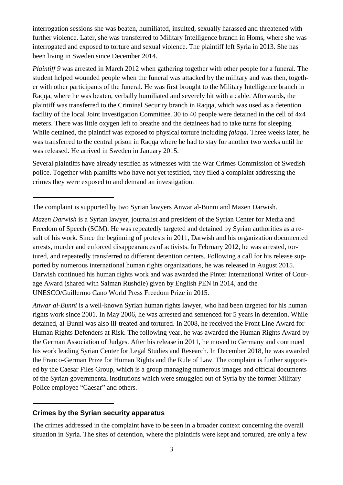interrogation sessions she was beaten, humiliated, insulted, sexually harassed and threatened with further violence. Later, she was transferred to Military Intelligence branch in Homs, where she was interrogated and exposed to torture and sexual violence. The plaintiff left Syria in 2013. She has been living in Sweden since December 2014.

*Plaintiff 9* was arrested in March 2012 when gathering together with other people for a funeral. The student helped wounded people when the funeral was attacked by the military and was then, together with other participants of the funeral. He was first brought to the Military Intelligence branch in Raqqa, where he was beaten, verbally humiliated and severely hit with a cable. Afterwards, the plaintiff was transferred to the Criminal Security branch in Raqqa, which was used as a detention facility of the local Joint Investigation Committee. 30 to 40 people were detained in the cell of 4x4 meters. There was little oxygen left to breathe and the detainees had to take turns for sleeping. While detained, the plaintiff was exposed to physical torture including *falaqa*. Three weeks later, he was transferred to the central prison in Raqqa where he had to stay for another two weeks until he was released. He arrived in Sweden in January 2015.

Several plaintiffs have already testified as witnesses with the War Crimes Commission of Swedish police. Together with plantiffs who have not yet testified, they filed a complaint addressing the crimes they were exposed to and demand an investigation.

*Anwar al-Bunni* is a well-known Syrian human rights lawyer, who had been targeted for his human rights work since 2001. In May 2006, he was arrested and sentenced for 5 years in detention. While detained, al-Bunni was also ill-treated and tortured. In 2008, he received the Front Line Award for Human Rights Defenders at Risk. The following year, he was awarded the Human Rights Award by the German Association of Judges. After his release in 2011, he moved to Germany and continued his work leading Syrian Center for Legal Studies and Research. In December 2018, he was awarded the Franco-German Prize for Human Rights and the Rule of Law. The complaint is further supported by the Caesar Files Group, which is a group managing numerous images and official documents of the Syrian governmental institutions which were smuggled out of Syria by the former Military Police employee "Caesar" and others.

#### **Crimes by the Syrian security apparatus**

The crimes addressed in the complaint have to be seen in a broader context concerning the overall situation in Syria. The sites of detention, where the plaintiffs were kept and tortured, are only a few

The complaint is supported by two Syrian lawyers Anwar al-Bunni and Mazen Darwish.

*Mazen Darwish* is a Syrian lawyer, journalist and president of the Syrian Center for Media and Freedom of Speech (SCM). He was repeatedly targeted and detained by Syrian authorities as a result of his work. Since the beginning of protests in 2011, Darwish and his organization documented arrests, murder and enforced disappearances of activists. In February 2012, he was arrested, tortured, and repeatedly transferred to different detention centers. Following a call for his release supported by numerous international human rights organizations, he was released in August 2015. Darwish continued his human rights work and was awarded the Pinter International Writer of Courage Award (shared with Salman Rushdie) given by English PEN in 2014, and the UNESCO/Guillermo Cano World Press Freedom Prize in 2015.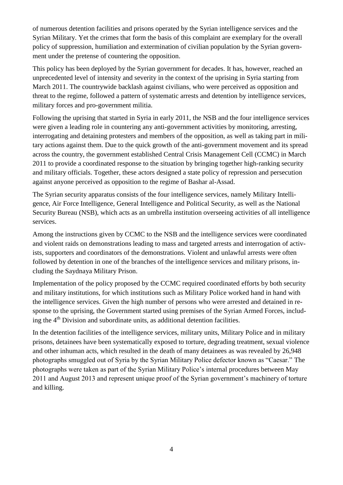of numerous detention facilities and prisons operated by the Syrian intelligence services and the Syrian Military. Yet the crimes that form the basis of this complaint are exemplary for the overall policy of suppression, humiliation and extermination of civilian population by the Syrian government under the pretense of countering the opposition.

This policy has been deployed by the Syrian government for decades. It has, however, reached an unprecedented level of intensity and severity in the context of the uprising in Syria starting from March 2011. The countrywide backlash against civilians, who were perceived as opposition and threat to the regime, followed a pattern of systematic arrests and detention by intelligence services, military forces and pro-government militia.

Following the uprising that started in Syria in early 2011, the NSB and the four intelligence services were given a leading role in countering any anti-government activities by monitoring, arresting, interrogating and detaining protesters and members of the opposition, as well as taking part in military actions against them. Due to the quick growth of the anti-government movement and its spread across the country, the government established Central Crisis Management Cell (CCMC) in March 2011 to provide a coordinated response to the situation by bringing together high-ranking security and military officials. Together, these actors designed a state policy of repression and persecution against anyone perceived as opposition to the regime of Bashar al-Assad.

The Syrian security apparatus consists of the four intelligence services, namely Military Intelligence, Air Force Intelligence, General Intelligence and Political Security, as well as the National Security Bureau (NSB), which acts as an umbrella institution overseeing activities of all intelligence services.

Among the instructions given by CCMC to the NSB and the intelligence services were coordinated and violent raids on demonstrations leading to mass and targeted arrests and interrogation of activists, supporters and coordinators of the demonstrations. Violent and unlawful arrests were often followed by detention in one of the branches of the intelligence services and military prisons, including the Saydnaya Military Prison.

Implementation of the policy proposed by the CCMC required coordinated efforts by both security and military institutions, for which institutions such as Military Police worked hand in hand with the intelligence services. Given the high number of persons who were arrested and detained in response to the uprising, the Government started using premises of the Syrian Armed Forces, including the  $4<sup>th</sup>$  Division and subordinate units, as additional detention facilities.

In the detention facilities of the intelligence services, military units, Military Police and in military prisons, detainees have been systematically exposed to torture, degrading treatment, sexual violence and other inhuman acts, which resulted in the death of many detainees as was revealed by 26,948 photographs smuggled out of Syria by the Syrian Military Police defector known as "Caesar." The photographs were taken as part of the Syrian Military Police's internal procedures between May 2011 and August 2013 and represent unique proof of the Syrian government's machinery of torture and killing.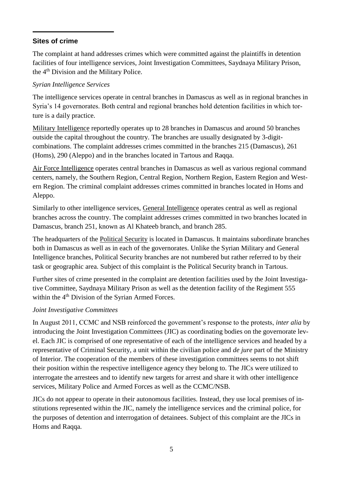## **Sites of crime**

The complaint at hand addresses crimes which were committed against the plaintiffs in detention facilities of four intelligence services, Joint Investigation Committees, Saydnaya Military Prison, the 4<sup>th</sup> Division and the Military Police.

## *Syrian Intelligence Services*

The intelligence services operate in central branches in Damascus as well as in regional branches in Syria's 14 governorates. Both central and regional branches hold detention facilities in which torture is a daily practice.

Military Intelligence reportedly operates up to 28 branches in Damascus and around 50 branches outside the capital throughout the country. The branches are usually designated by 3-digitcombinations. The complaint addresses crimes committed in the branches 215 (Damascus), 261 (Homs), 290 (Aleppo) and in the branches located in Tartous and Raqqa.

Air Force Intelligence operates central branches in Damascus as well as various regional command centers, namely, the Southern Region, Central Region, Northern Region, Eastern Region and Western Region. The criminal complaint addresses crimes committed in branches located in Homs and Aleppo.

Similarly to other intelligence services, General Intelligence operates central as well as regional branches across the country. The complaint addresses crimes committed in two branches located in Damascus, branch 251, known as Al Khateeb branch, and branch 285.

The headquarters of the Political Security is located in Damascus. It maintains subordinate branches both in Damascus as well as in each of the governorates. Unlike the Syrian Military and General Intelligence branches, Political Security branches are not numbered but rather referred to by their task or geographic area. Subject of this complaint is the Political Security branch in Tartous.

Further sites of crime presented in the complaint are detention facilities used by the Joint Investigative Committee, Saydnaya Military Prison as well as the detention facility of the Regiment 555 within the 4<sup>th</sup> Division of the Syrian Armed Forces.

## *Joint Investigative Committees*

In August 2011, CCMC and NSB reinforced the government's response to the protests, *inter alia* by introducing the Joint Investigation Committees (JIC) as coordinating bodies on the governorate level. Each JIC is comprised of one representative of each of the intelligence services and headed by a representative of Criminal Security, a unit within the civilian police and *de jure* part of the Ministry of Interior. The cooperation of the members of these investigation committees seems to not shift their position within the respective intelligence agency they belong to. The JICs were utilized to interrogate the arrestees and to identify new targets for arrest and share it with other intelligence services, Military Police and Armed Forces as well as the CCMC/NSB.

JICs do not appear to operate in their autonomous facilities. Instead, they use local premises of institutions represented within the JIC, namely the intelligence services and the criminal police, for the purposes of detention and interrogation of detainees. Subject of this complaint are the JICs in Homs and Raqqa.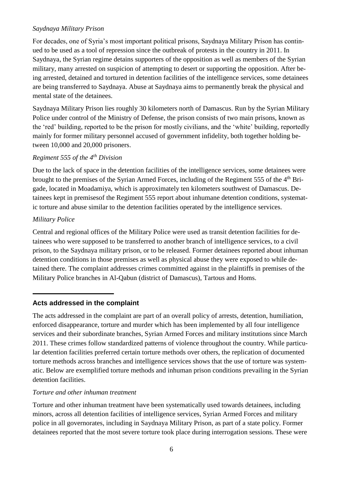## *Saydnaya Military Prison*

For decades, one of Syria's most important political prisons, Saydnaya Military Prison has continued to be used as a tool of repression since the outbreak of protests in the country in 2011. In Saydnaya, the Syrian regime detains supporters of the opposition as well as members of the Syrian military, many arrested on suspicion of attempting to desert or supporting the opposition. After being arrested, detained and tortured in detention facilities of the intelligence services, some detainees are being transferred to Saydnaya. Abuse at Saydnaya aims to permanently break the physical and mental state of the detainees.

Saydnaya Military Prison lies roughly 30 kilometers north of Damascus. Run by the Syrian Military Police under control of the Ministry of Defense, the prison consists of two main prisons, known as the 'red' building, reported to be the prison for mostly civilians, and the 'white' building, reportedly mainly for former military personnel accused of government infidelity, both together holding between 10,000 and 20,000 prisoners.

# *Regiment 555 of the 4th Division*

Due to the lack of space in the detention facilities of the intelligence services, some detainees were brought to the premises of the Syrian Armed Forces, including of the Regiment 555 of the 4<sup>th</sup> Brigade, located in Moadamiya, which is approximately ten kilometers southwest of Damascus. Detainees kept in premisesof the Regiment 555 report about inhumane detention conditions, systematic torture and abuse similar to the detention facilities operated by the intelligence services.

## *Military Police*

Central and regional offices of the Military Police were used as transit detention facilities for detainees who were supposed to be transferred to another branch of intelligence services, to a civil prison, to the Saydnaya military prison, or to be released. Former detainees reported about inhuman detention conditions in those premises as well as physical abuse they were exposed to while detained there. The complaint addresses crimes committed against in the plaintiffs in premises of the Military Police branches in Al-Qabun (district of Damascus), Tartous and Homs.

## **Acts addressed in the complaint**

The acts addressed in the complaint are part of an overall policy of arrests, detention, humiliation, enforced disappearance, torture and murder which has been implemented by all four intelligence services and their subordinate branches, Syrian Armed Forces and military institutions since March 2011. These crimes follow standardized patterns of violence throughout the country. While particular detention facilities preferred certain torture methods over others, the replication of documented torture methods across branches and intelligence services shows that the use of torture was systematic. Below are exemplified torture methods and inhuman prison conditions prevailing in the Syrian detention facilities.

## *Torture and other inhuman treatment*

Torture and other inhuman treatment have been systematically used towards detainees, including minors, across all detention facilities of intelligence services, Syrian Armed Forces and military police in all governorates, including in Saydnaya Military Prison, as part of a state policy. Former detainees reported that the most severe torture took place during interrogation sessions. These were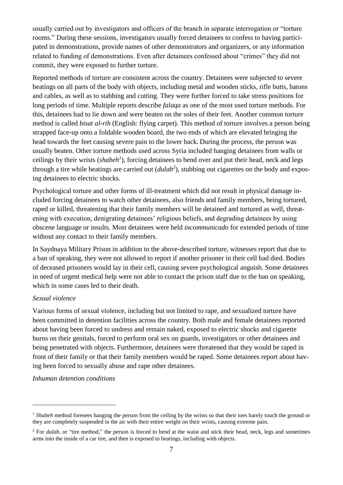usually carried out by investigators and officers of the branch in separate interrogation or "torture rooms." During these sessions, investigators usually forced detainees to confess to having participated in demonstrations, provide names of other demonstrators and organizers, or any information related to funding of demonstrations. Even after detainees confessed about "crimes" they did not commit, they were exposed to further torture.

Reported methods of torture are consistent across the country. Detainees were subjected to severe beatings on all parts of the body with objects, including metal and wooden sticks, rifle butts, batons and cables, as well as to stabbing and cutting. They were further forced to take stress positions for long periods of time. Multiple reports describe *falaqa* as one of the most used torture methods. For this, detainees had to lie down and were beaten on the soles of their feet. Another common torture method is called *bisat al-rih* (English: flying carpet). This method of torture involves a person being strapped face-up onto a foldable wooden board, the two ends of which are elevated bringing the head towards the feet causing severe pain to the lower back. During the process, the person was usually beaten. Other torture methods used across Syria included hanging detainees from walls or ceilings by their wrists (*shabeh<sup>1</sup>* ), forcing detainees to bend over and put their head, neck and legs through a tire while beatings are carried out (*dulab<sup>2</sup>* ), stubbing out cigarettes on the body and exposing detainees to electric shocks.

Psychological torture and other forms of ill-treatment which did not result in physical damage included forcing detainees to watch other detainees, also friends and family members, being tortured, raped or killed, threatening that their family members will be detained and tortured as well, threatening with execution, denigrating detainees' religious beliefs, and degrading detainees by using obscene language or insults. Most detainees were held *incommunicado* for extended periods of time without any contact to their family members.

In Saydnaya Military Prison in addition to the above-described torture, witnesses report that due to a ban of speaking, they were not allowed to report if another prisoner in their cell had died. Bodies of deceased prisoners would lay in their cell, causing severe psychological anguish. Some detainees in need of urgent medical help were not able to contact the prison staff due to the ban on speaking, which in some cases led to their death.

## *Sexual violence*

1

Various forms of sexual violence, including but not limited to rape, and sexualized torture have been committed in detention facilities across the country. Both male and female detainees reported about having been forced to undress and remain naked, exposed to electric shocks and cigarette burns on their genitals, forced to perform oral sex on guards, investigators or other detainees and being penetrated with objects. Furthermore, detainees were threatened that they would be raped in front of their family or that their family members would be raped. Some detainees report about having been forced to sexually abuse and rape other detainees.

*Inhuman detention conditions*

<sup>&</sup>lt;sup>1</sup> *Shabeh* method foresees hanging the person from the ceiling by the wrists so that their toes barely touch the ground or they are completely suspended in the air with their entire weight on their wrists, causing extreme pain.

<sup>&</sup>lt;sup>2</sup> For *dulab*, or "tire method," the person is forced to bend at the waist and stick their head, neck, legs and sometimes arms into the inside of a car tire, and then is exposed to beatings, including with objects.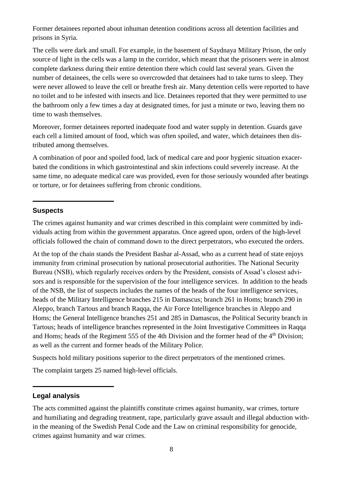Former detainees reported about inhuman detention conditions across all detention facilities and prisons in Syria.

The cells were dark and small. For example, in the basement of Saydnaya Military Prison, the only source of light in the cells was a lamp in the corridor, which meant that the prisoners were in almost complete darkness during their entire detention there which could last several years. Given the number of detainees, the cells were so overcrowded that detainees had to take turns to sleep. They were never allowed to leave the cell or breathe fresh air. Many detention cells were reported to have no toilet and to be infested with insects and lice. Detainees reported that they were permitted to use the bathroom only a few times a day at designated times, for just a minute or two, leaving them no time to wash themselves.

Moreover, former detainees reported inadequate food and water supply in detention. Guards gave each cell a limited amount of food, which was often spoiled, and water, which detainees then distributed among themselves.

A combination of poor and spoiled food, lack of medical care and poor hygienic situation exacerbated the conditions in which gastrointestinal and skin infections could severely increase. At the same time, no adequate medical care was provided, even for those seriously wounded after beatings or torture, or for detainees suffering from chronic conditions.

## **Suspects**

The crimes against humanity and war crimes described in this complaint were committed by individuals acting from within the government apparatus. Once agreed upon, orders of the high-level officials followed the chain of command down to the direct perpetrators, who executed the orders.

At the top of the chain stands the President Bashar al-Assad, who as a current head of state enjoys immunity from criminal prosecution by national prosecutorial authorities. The National Security Bureau (NSB), which regularly receives orders by the President, consists of Assad's closest advisors and is responsible for the supervision of the four intelligence services. In addition to the heads of the NSB, the list of suspects includes the names of the heads of the four intelligence services, heads of the Military Intelligence branches 215 in Damascus; branch 261 in Homs; branch 290 in Aleppo, branch Tartous and branch Raqqa, the Air Force Intelligence branches in Aleppo and Homs; the General Intelligence branches 251 and 285 in Damascus, the Political Security branch in Tartous; heads of intelligence branches represented in the Joint Investigative Committees in Raqqa and Homs; heads of the Regiment 555 of the 4th Division and the former head of the 4th Division; as well as the current and former heads of the Military Police.

Suspects hold military positions superior to the direct perpetrators of the mentioned crimes.

The complaint targets 25 named high-level officials.

#### **Legal analysis**

The acts committed against the plaintiffs constitute crimes against humanity, war crimes, torture and humiliating and degrading treatment, rape, particularly grave assault and illegal abduction within the meaning of the Swedish Penal Code and the Law on criminal responsibility for genocide, crimes against humanity and war crimes.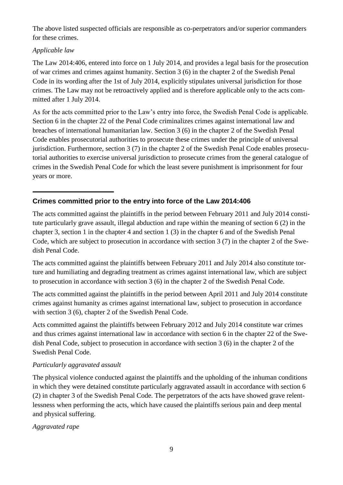The above listed suspected officials are responsible as co-perpetrators and/or superior commanders for these crimes.

## *Applicable law*

The Law 2014:406, entered into force on 1 July 2014, and provides a legal basis for the prosecution of war crimes and crimes against humanity. Section 3 (6) in the chapter 2 of the Swedish Penal Code in its wording after the 1st of July 2014, explicitly stipulates universal jurisdiction for those crimes. The Law may not be retroactively applied and is therefore applicable only to the acts committed after 1 July 2014.

As for the acts committed prior to the Law's entry into force, the Swedish Penal Code is applicable. Section 6 in the chapter 22 of the Penal Code criminalizes crimes against international law and breaches of international humanitarian law. Section 3 (6) in the chapter 2 of the Swedish Penal Code enables prosecutorial authorities to prosecute these crimes under the principle of universal jurisdiction. Furthermore, section 3 (7) in the chapter 2 of the Swedish Penal Code enables prosecutorial authorities to exercise universal jurisdiction to prosecute crimes from the general catalogue of crimes in the Swedish Penal Code for which the least severe punishment is imprisonment for four years or more.

# **Crimes committed prior to the entry into force of the Law 2014:406**

The acts committed against the plaintiffs in the period between February 2011 and July 2014 constitute particularly grave assault, illegal abduction and rape within the meaning of section 6 (2) in the chapter 3, section 1 in the chapter 4 and section 1 (3) in the chapter 6 and of the Swedish Penal Code, which are subject to prosecution in accordance with section 3 (7) in the chapter 2 of the Swedish Penal Code.

The acts committed against the plaintiffs between February 2011 and July 2014 also constitute torture and humiliating and degrading treatment as crimes against international law, which are subject to prosecution in accordance with section 3 (6) in the chapter 2 of the Swedish Penal Code.

The acts committed against the plaintiffs in the period between April 2011 and July 2014 constitute crimes against humanity as crimes against international law, subject to prosecution in accordance with section 3 (6), chapter 2 of the Swedish Penal Code.

Acts committed against the plaintiffs between February 2012 and July 2014 constitute war crimes and thus crimes against international law in accordance with section 6 in the chapter 22 of the Swedish Penal Code, subject to prosecution in accordance with section 3 (6) in the chapter 2 of the Swedish Penal Code.

## *Particularly aggravated assault*

The physical violence conducted against the plaintiffs and the upholding of the inhuman conditions in which they were detained constitute particularly aggravated assault in accordance with section 6 (2) in chapter 3 of the Swedish Penal Code. The perpetrators of the acts have showed grave relentlessness when performing the acts, which have caused the plaintiffs serious pain and deep mental and physical suffering.

## *Aggravated rape*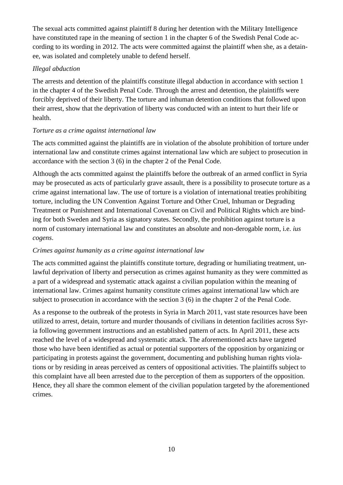The sexual acts committed against plaintiff 8 during her detention with the Military Intelligence have constituted rape in the meaning of section 1 in the chapter 6 of the Swedish Penal Code according to its wording in 2012. The acts were committed against the plaintiff when she, as a detainee, was isolated and completely unable to defend herself.

## *Illegal abduction*

The arrests and detention of the plaintiffs constitute illegal abduction in accordance with section 1 in the chapter 4 of the Swedish Penal Code. Through the arrest and detention, the plaintiffs were forcibly deprived of their liberty. The torture and inhuman detention conditions that followed upon their arrest, show that the deprivation of liberty was conducted with an intent to hurt their life or health.

## *Torture as a crime against international law*

The acts committed against the plaintiffs are in violation of the absolute prohibition of torture under international law and constitute crimes against international law which are subject to prosecution in accordance with the section 3 (6) in the chapter 2 of the Penal Code.

Although the acts committed against the plaintiffs before the outbreak of an armed conflict in Syria may be prosecuted as acts of particularly grave assault, there is a possibility to prosecute torture as a crime against international law. The use of torture is a violation of international treaties prohibiting torture, including the UN Convention Against Torture and Other Cruel, Inhuman or Degrading Treatment or Punishment and International Covenant on Civil and Political Rights which are binding for both Sweden and Syria as signatory states. Secondly, the prohibition against torture is a norm of customary international law and constitutes an absolute and non-derogable norm, i.e. *ius cogens*.

# *Crimes against humanity as a crime against international law*

The acts committed against the plaintiffs constitute torture, degrading or humiliating treatment, unlawful deprivation of liberty and persecution as crimes against humanity as they were committed as a part of a widespread and systematic attack against a civilian population within the meaning of international law. Crimes against humanity constitute crimes against international law which are subject to prosecution in accordance with the section 3 (6) in the chapter 2 of the Penal Code.

As a response to the outbreak of the protests in Syria in March 2011, vast state resources have been utilized to arrest, detain, torture and murder thousands of civilians in detention facilities across Syria following government instructions and an established pattern of acts. In April 2011, these acts reached the level of a widespread and systematic attack. The aforementioned acts have targeted those who have been identified as actual or potential supporters of the opposition by organizing or participating in protests against the government, documenting and publishing human rights violations or by residing in areas perceived as centers of oppositional activities. The plaintiffs subject to this complaint have all been arrested due to the perception of them as supporters of the opposition. Hence, they all share the common element of the civilian population targeted by the aforementioned crimes.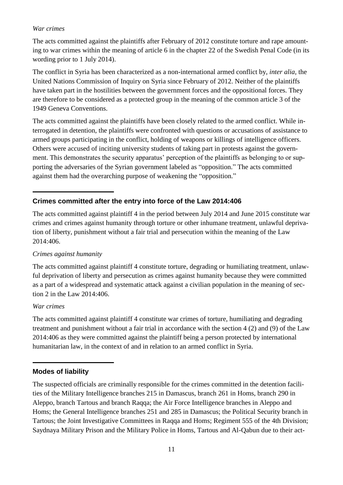## *War crimes*

The acts committed against the plaintiffs after February of 2012 constitute torture and rape amounting to war crimes within the meaning of article 6 in the chapter 22 of the Swedish Penal Code (in its wording prior to 1 July 2014).

The conflict in Syria has been characterized as a non-international armed conflict by, *inter alia*, the United Nations Commission of Inquiry on Syria since February of 2012. Neither of the plaintiffs have taken part in the hostilities between the government forces and the oppositional forces. They are therefore to be considered as a protected group in the meaning of the common article 3 of the 1949 Geneva Conventions.

The acts committed against the plaintiffs have been closely related to the armed conflict. While interrogated in detention, the plaintiffs were confronted with questions or accusations of assistance to armed groups participating in the conflict, holding of weapons or killings of intelligence officers. Others were accused of inciting university students of taking part in protests against the government. This demonstrates the security apparatus' perception of the plaintiffs as belonging to or supporting the adversaries of the Syrian government labeled as "opposition." The acts committed against them had the overarching purpose of weakening the "opposition."

# **Crimes committed after the entry into force of the Law 2014:406**

The acts committed against plaintiff 4 in the period between July 2014 and June 2015 constitute war crimes and crimes against humanity through torture or other inhumane treatment, unlawful deprivation of liberty, punishment without a fair trial and persecution within the meaning of the Law 2014:406.

## *Crimes against humanity*

The acts committed against plaintiff 4 constitute torture, degrading or humiliating treatment, unlawful deprivation of liberty and persecution as crimes against humanity because they were committed as a part of a widespread and systematic attack against a civilian population in the meaning of section 2 in the Law 2014:406.

## *War crimes*

The acts committed against plaintiff 4 constitute war crimes of torture, humiliating and degrading treatment and punishment without a fair trial in accordance with the section 4 (2) and (9) of the Law 2014:406 as they were committed against the plaintiff being a person protected by international humanitarian law, in the context of and in relation to an armed conflict in Syria.

# **Modes of liability**

The suspected officials are criminally responsible for the crimes committed in the detention facilities of the Military Intelligence branches 215 in Damascus, branch 261 in Homs, branch 290 in Aleppo, branch Tartous and branch Raqqa; the Air Force Intelligence branches in Aleppo and Homs; the General Intelligence branches 251 and 285 in Damascus; the Political Security branch in Tartous; the Joint Investigative Committees in Raqqa and Homs; Regiment 555 of the 4th Division; Saydnaya Military Prison and the Military Police in Homs, Tartous and Al-Qabun due to their act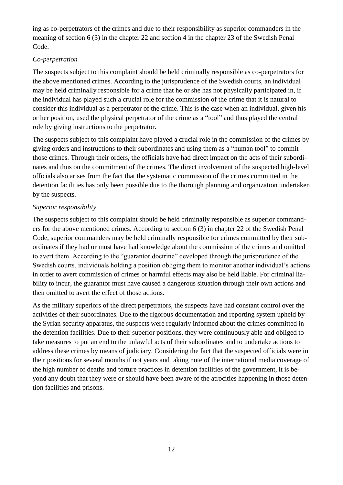ing as co-perpetrators of the crimes and due to their responsibility as superior commanders in the meaning of section 6 (3) in the chapter 22 and section 4 in the chapter 23 of the Swedish Penal Code.

## *Co-perpetration*

The suspects subject to this complaint should be held criminally responsible as co-perpetrators for the above mentioned crimes. According to the jurisprudence of the Swedish courts, an individual may be held criminally responsible for a crime that he or she has not physically participated in, if the individual has played such a crucial role for the commission of the crime that it is natural to consider this individual as a perpetrator of the crime. This is the case when an individual, given his or her position, used the physical perpetrator of the crime as a "tool" and thus played the central role by giving instructions to the perpetrator.

The suspects subject to this complaint have played a crucial role in the commission of the crimes by giving orders and instructions to their subordinates and using them as a "human tool" to commit those crimes. Through their orders, the officials have had direct impact on the acts of their subordinates and thus on the commitment of the crimes. The direct involvement of the suspected high-level officials also arises from the fact that the systematic commission of the crimes committed in the detention facilities has only been possible due to the thorough planning and organization undertaken by the suspects.

# *Superior responsibility*

The suspects subject to this complaint should be held criminally responsible as superior commanders for the above mentioned crimes. According to section 6 (3) in chapter 22 of the Swedish Penal Code, superior commanders may be held criminally responsible for crimes committed by their subordinates if they had or must have had knowledge about the commission of the crimes and omitted to avert them. According to the "guarantor doctrine" developed through the jurisprudence of the Swedish courts, individuals holding a position obliging them to monitor another individual's actions in order to avert commission of crimes or harmful effects may also be held liable. For criminal liability to incur, the guarantor must have caused a dangerous situation through their own actions and then omitted to avert the effect of those actions.

As the military superiors of the direct perpetrators, the suspects have had constant control over the activities of their subordinates. Due to the rigorous documentation and reporting system upheld by the Syrian security apparatus, the suspects were regularly informed about the crimes committed in the detention facilities. Due to their superior positions, they were continuously able and obliged to take measures to put an end to the unlawful acts of their subordinates and to undertake actions to address these crimes by means of judiciary. Considering the fact that the suspected officials were in their positions for several months if not years and taking note of the international media coverage of the high number of deaths and torture practices in detention facilities of the government, it is beyond any doubt that they were or should have been aware of the atrocities happening in those detention facilities and prisons.